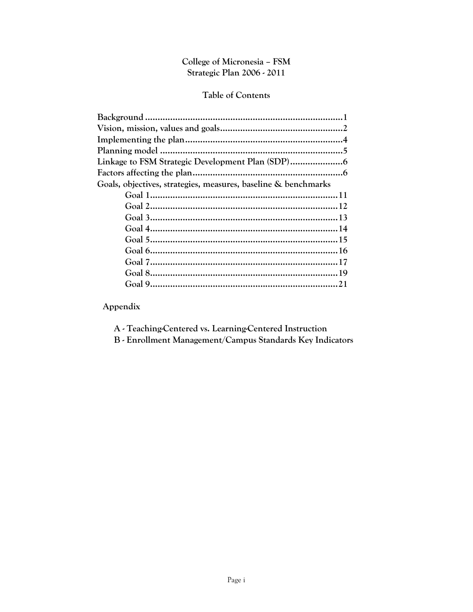# College of Micronesia - FSM Strategic Plan 2006 - 2011

# Table of Contents

| Goals, objectives, strategies, measures, baseline & benchmarks |
|----------------------------------------------------------------|
|                                                                |
|                                                                |
|                                                                |
|                                                                |
|                                                                |
|                                                                |
|                                                                |
|                                                                |
|                                                                |
|                                                                |

Appendix

A - Teaching-Centered vs. Learning-Centered Instruction

B - Enrollment Management/Campus Standards Key Indicators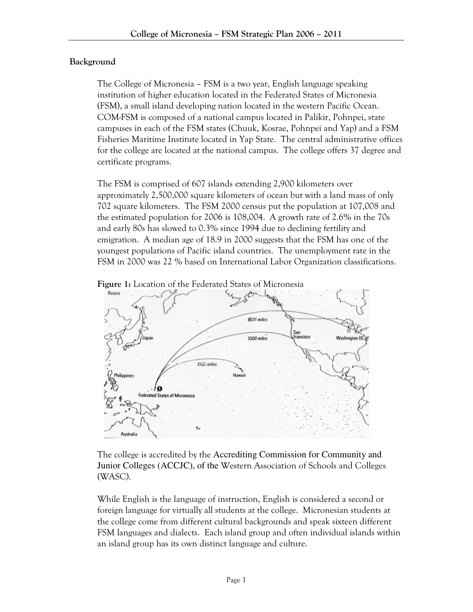## Background

The College of Micronesia – FSM is a two year, English language speaking institution of higher education located in the Federated States of Micronesia (FSM), a small island developing nation located in the western Pacific Ocean. COM-FSM is composed of a national campus located in Palikir, Pohnpei, state campuses in each of the FSM states (Chuuk, Kosrae, Pohnpei and Yap) and a FSM Fisheries Maritime Institute located in Yap State. The central administrative offices for the college are located at the national campus. The college offers 37 degree and certificate programs.

The FSM is comprised of 607 islands extending 2,900 kilometers over approximately 2,500,000 square kilometers of ocean but with a land mass of only 702 square kilometers. The FSM 2000 census put the population at 107,008 and the estimated population for 2006 is 108,004. A growth rate of 2.6% in the 70s and early 80s has slowed to 0.3% since 1994 due to declining fertility and emigration. A median age of 18.9 in 2000 suggests that the FSM has one of the youngest populations of Pacific island countries. The unemployment rate in the FSM in 2000 was 22 % based on International Labor Organization classifications.





The college is accredited by the Accrediting Commission for Community and Junior Colleges (ACCJC), of the Western Association of Schools and Colleges (WASC).

While English is the language of instruction, English is considered a second or foreign language for virtually all students at the college. Micronesian students at the college come from different cultural backgrounds and speak sixteen different FSM languages and dialects. Each island group and often individual islands within an island group has its own distinct language and culture.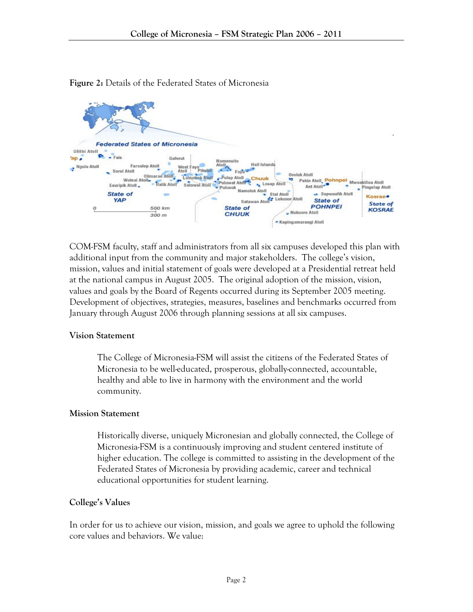

Figure 2: Details of the Federated States of Micronesia

COM-FSM faculty, staff and administrators from all six campuses developed this plan with additional input from the community and major stakeholders. The college's vision, mission, values and initial statement of goals were developed at a Presidential retreat held at the national campus in August 2005. The original adoption of the mission, vision, values and goals by the Board of Regents occurred during its September 2005 meeting. Development of objectives, strategies, measures, baselines and benchmarks occurred from January through August 2006 through planning sessions at all six campuses.

## Vision Statement

The College of Micronesia-FSM will assist the citizens of the Federated States of Micronesia to be well-educated, prosperous, globally-connected, accountable, healthy and able to live in harmony with the environment and the world community.

## Mission Statement

Historically diverse, uniquely Micronesian and globally connected, the College of Micronesia-FSM is a continuously improving and student centered institute of higher education. The college is committed to assisting in the development of the Federated States of Micronesia by providing academic, career and technical educational opportunities for student learning.

## College's Values

In order for us to achieve our vision, mission, and goals we agree to uphold the following core values and behaviors. We value: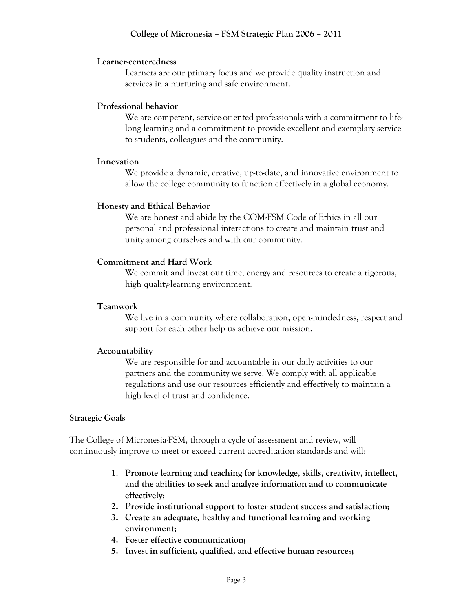#### Learner-centeredness

Learners are our primary focus and we provide quality instruction and services in a nurturing and safe environment.

## Professional behavior

We are competent, service-oriented professionals with a commitment to lifelong learning and a commitment to provide excellent and exemplary service to students, colleagues and the community.

## Innovation

We provide a dynamic, creative, up-to-date, and innovative environment to allow the college community to function effectively in a global economy.

## Honesty and Ethical Behavior

We are honest and abide by the COM-FSM Code of Ethics in all our personal and professional interactions to create and maintain trust and unity among ourselves and with our community.

## Commitment and Hard Work

We commit and invest our time, energy and resources to create a rigorous, high quality-learning environment.

## Teamwork

We live in a community where collaboration, open-mindedness, respect and support for each other help us achieve our mission.

## Accountability

We are responsible for and accountable in our daily activities to our partners and the community we serve. We comply with all applicable regulations and use our resources efficiently and effectively to maintain a high level of trust and confidence.

#### Strategic Goals

The College of Micronesia-FSM, through a cycle of assessment and review, will continuously improve to meet or exceed current accreditation standards and will:

- 1. Promote learning and teaching for knowledge, skills, creativity, intellect, and the abilities to seek and analyze information and to communicate effectively;
- 2. Provide institutional support to foster student success and satisfaction;
- 3. Create an adequate, healthy and functional learning and working environment;
- 4. Foster effective communication;
- 5. Invest in sufficient, qualified, and effective human resources;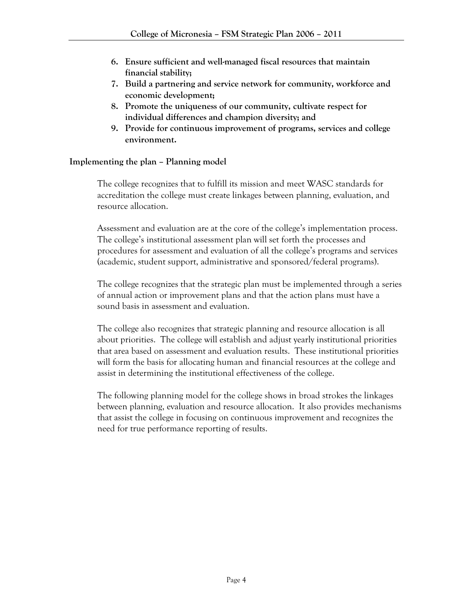- 6. Ensure sufficient and well-managed fiscal resources that maintain financial stability;
- 7. Build a partnering and service network for community, workforce and economic development;
- 8. Promote the uniqueness of our community, cultivate respect for individual differences and champion diversity; and
- 9. Provide for continuous improvement of programs, services and college environment.

## Implementing the plan – Planning model

The college recognizes that to fulfill its mission and meet WASC standards for accreditation the college must create linkages between planning, evaluation, and resource allocation.

Assessment and evaluation are at the core of the college's implementation process. The college's institutional assessment plan will set forth the processes and procedures for assessment and evaluation of all the college's programs and services (academic, student support, administrative and sponsored/federal programs).

The college recognizes that the strategic plan must be implemented through a series of annual action or improvement plans and that the action plans must have a sound basis in assessment and evaluation.

The college also recognizes that strategic planning and resource allocation is all about priorities. The college will establish and adjust yearly institutional priorities that area based on assessment and evaluation results. These institutional priorities will form the basis for allocating human and financial resources at the college and assist in determining the institutional effectiveness of the college.

The following planning model for the college shows in broad strokes the linkages between planning, evaluation and resource allocation. It also provides mechanisms that assist the college in focusing on continuous improvement and recognizes the need for true performance reporting of results.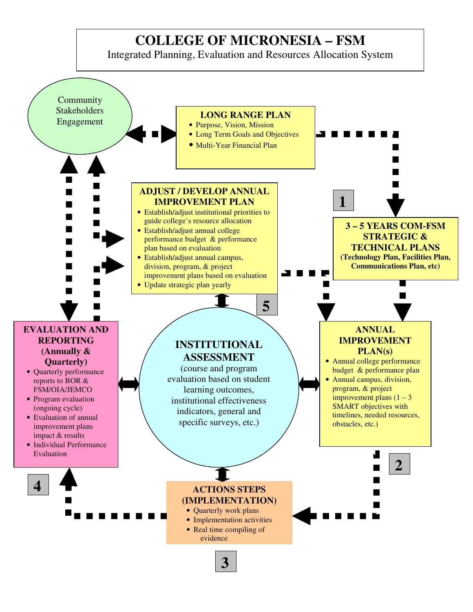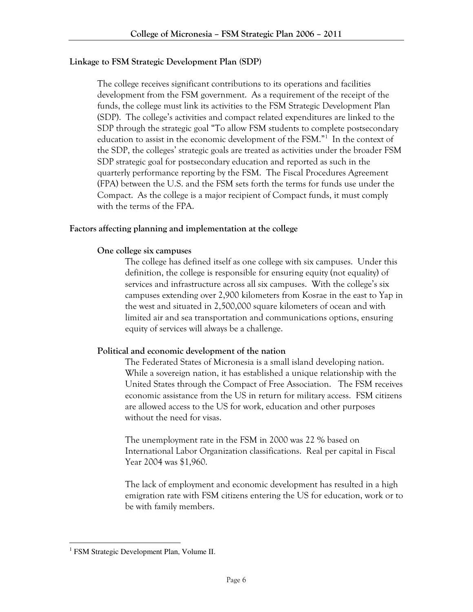## Linkage to FSM Strategic Development Plan (SDP)

The college receives significant contributions to its operations and facilities development from the FSM government. As a requirement of the receipt of the funds, the college must link its activities to the FSM Strategic Development Plan (SDP). The college's activities and compact related expenditures are linked to the SDP through the strategic goal "To allow FSM students to complete postsecondary education to assist in the economic development of the FSM."<sup>1</sup> In the context of the SDP, the colleges' strategic goals are treated as activities under the broader FSM SDP strategic goal for postsecondary education and reported as such in the quarterly performance reporting by the FSM. The Fiscal Procedures Agreement (FPA) between the U.S. and the FSM sets forth the terms for funds use under the Compact. As the college is a major recipient of Compact funds, it must comply with the terms of the FPA.

## Factors affecting planning and implementation at the college

## One college six campuses

The college has defined itself as one college with six campuses. Under this definition, the college is responsible for ensuring equity (not equality) of services and infrastructure across all six campuses. With the college's six campuses extending over 2,900 kilometers from Kosrae in the east to Yap in the west and situated in 2,500,000 square kilometers of ocean and with limited air and sea transportation and communications options, ensuring equity of services will always be a challenge.

## Political and economic development of the nation

The Federated States of Micronesia is a small island developing nation. While a sovereign nation, it has established a unique relationship with the United States through the Compact of Free Association. The FSM receives economic assistance from the US in return for military access. FSM citizens are allowed access to the US for work, education and other purposes without the need for visas.

The unemployment rate in the FSM in 2000 was 22 % based on International Labor Organization classifications. Real per capital in Fiscal Year 2004 was \$1,960.

The lack of employment and economic development has resulted in a high emigration rate with FSM citizens entering the US for education, work or to be with family members.

 $\overline{a}$ 

<sup>&</sup>lt;sup>1</sup> FSM Strategic Development Plan, Volume II.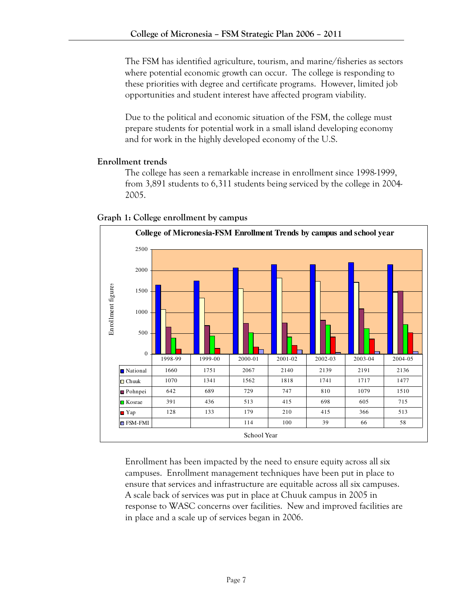The FSM has identified agriculture, tourism, and marine/fisheries as sectors where potential economic growth can occur. The college is responding to these priorities with degree and certificate programs. However, limited job opportunities and student interest have affected program viability.

Due to the political and economic situation of the FSM, the college must prepare students for potential work in a small island developing economy and for work in the highly developed economy of the U.S.

# Enrollment trends

The college has seen a remarkable increase in enrollment since 1998-1999, from 3,891 students to 6,311 students being serviced by the college in 2004- 2005.





Enrollment has been impacted by the need to ensure equity across all six campuses. Enrollment management techniques have been put in place to ensure that services and infrastructure are equitable across all six campuses. A scale back of services was put in place at Chuuk campus in 2005 in response to WASC concerns over facilities. New and improved facilities are in place and a scale up of services began in 2006.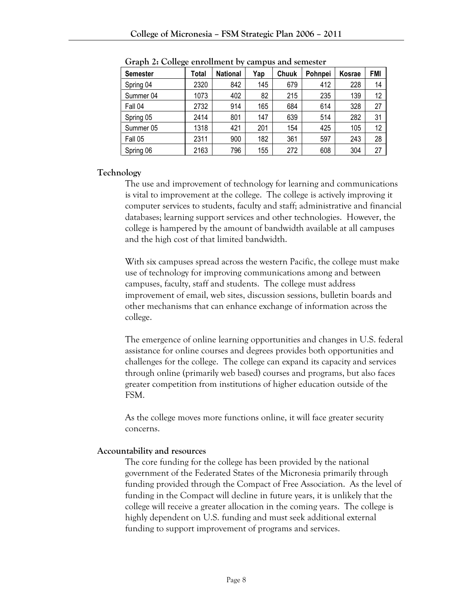| <b>Semester</b> | Total | <b>National</b> | Yap | Chuuk | Pohnpei | Kosrae | FMI |
|-----------------|-------|-----------------|-----|-------|---------|--------|-----|
| Spring 04       | 2320  | 842             | 145 | 679   | 412     | 228    | 14  |
| Summer 04       | 1073  | 402             | 82  | 215   | 235     | 139    | 12  |
| Fall 04         | 2732  | 914             | 165 | 684   | 614     | 328    | 27  |
| Spring 05       | 2414  | 801             | 147 | 639   | 514     | 282    | 31  |
| Summer 05       | 1318  | 421             | 201 | 154   | 425     | 105    | 12  |
| Fall 05         | 2311  | 900             | 182 | 361   | 597     | 243    | 28  |
| Spring 06       | 2163  | 796             | 155 | 272   | 608     | 304    | 27  |

Graph 2: College enrollment by campus and semester

## Technology

The use and improvement of technology for learning and communications is vital to improvement at the college. The college is actively improving it computer services to students, faculty and staff; administrative and financial databases; learning support services and other technologies. However, the college is hampered by the amount of bandwidth available at all campuses and the high cost of that limited bandwidth.

With six campuses spread across the western Pacific, the college must make use of technology for improving communications among and between campuses, faculty, staff and students. The college must address improvement of email, web sites, discussion sessions, bulletin boards and other mechanisms that can enhance exchange of information across the college.

The emergence of online learning opportunities and changes in U.S. federal assistance for online courses and degrees provides both opportunities and challenges for the college. The college can expand its capacity and services through online (primarily web based) courses and programs, but also faces greater competition from institutions of higher education outside of the FSM.

As the college moves more functions online, it will face greater security concerns.

## Accountability and resources

The core funding for the college has been provided by the national government of the Federated States of the Micronesia primarily through funding provided through the Compact of Free Association. As the level of funding in the Compact will decline in future years, it is unlikely that the college will receive a greater allocation in the coming years. The college is highly dependent on U.S. funding and must seek additional external funding to support improvement of programs and services.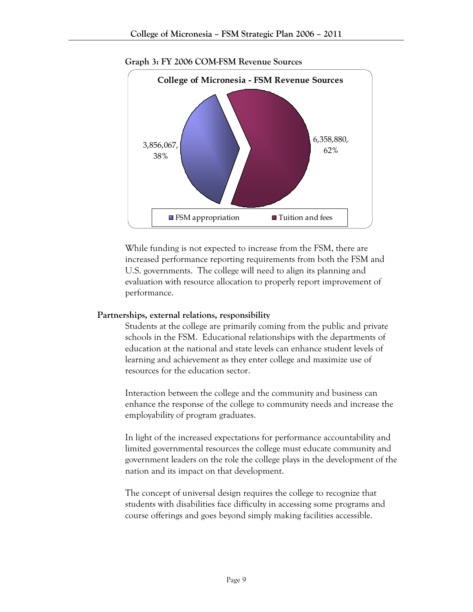

Graph 3: FY 2006 COM-FSM Revenue Sources

While funding is not expected to increase from the FSM, there are increased performance reporting requirements from both the FSM and U.S. governments. The college will need to align its planning and evaluation with resource allocation to properly report improvement of performance.

## Partnerships, external relations, responsibility

Students at the college are primarily coming from the public and private schools in the FSM. Educational relationships with the departments of education at the national and state levels can enhance student levels of learning and achievement as they enter college and maximize use of resources for the education sector.

Interaction between the college and the community and business can enhance the response of the college to community needs and increase the employability of program graduates.

In light of the increased expectations for performance accountability and limited governmental resources the college must educate community and government leaders on the role the college plays in the development of the nation and its impact on that development.

The concept of universal design requires the college to recognize that students with disabilities face difficulty in accessing some programs and course offerings and goes beyond simply making facilities accessible.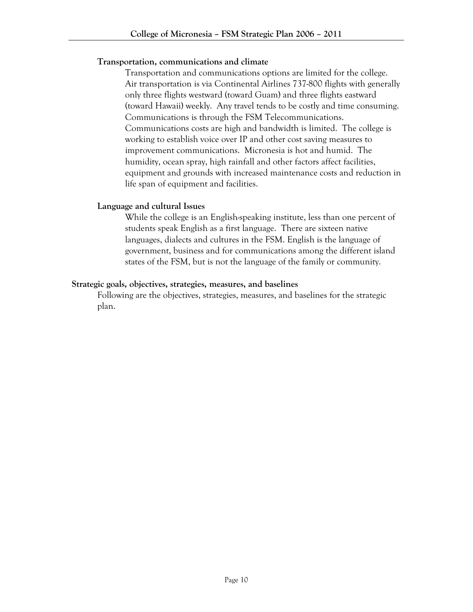## Transportation, communications and climate

Transportation and communications options are limited for the college. Air transportation is via Continental Airlines 737-800 flights with generally only three flights westward (toward Guam) and three flights eastward (toward Hawaii) weekly. Any travel tends to be costly and time consuming. Communications is through the FSM Telecommunications. Communications costs are high and bandwidth is limited. The college is working to establish voice over IP and other cost saving measures to improvement communications. Micronesia is hot and humid. The humidity, ocean spray, high rainfall and other factors affect facilities, equipment and grounds with increased maintenance costs and reduction in life span of equipment and facilities.

## Language and cultural Issues

While the college is an English-speaking institute, less than one percent of students speak English as a first language. There are sixteen native languages, dialects and cultures in the FSM. English is the language of government, business and for communications among the different island states of the FSM, but is not the language of the family or community.

## Strategic goals, objectives, strategies, measures, and baselines

Following are the objectives, strategies, measures, and baselines for the strategic plan.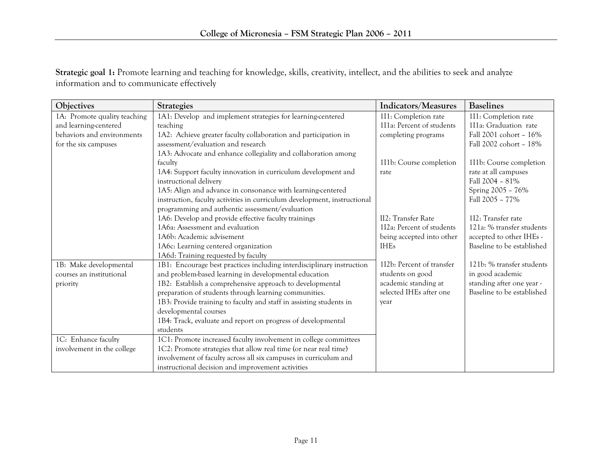Strategic goal 1: Promote learning and teaching for knowledge, skills, creativity, intellect, and the abilities to seek and analyze information and to communicate effectively

| Objectives                   | <b>Strategies</b>                                                        | Indicators/Measures       | <b>Baselines</b>           |
|------------------------------|--------------------------------------------------------------------------|---------------------------|----------------------------|
| 1A: Promote quality teaching | 1A1: Develop and implement strategies for learning-centered              | 111: Completion rate      | 111: Completion rate       |
| and learning-centered        | teaching                                                                 | 111a: Percent of students | 111a: Graduation rate      |
| behaviors and environments   | 1A2: Achieve greater faculty collaboration and participation in          | completing programs       | Fall 2001 cohort - 16%     |
| for the six campuses         | assessment/evaluation and research                                       |                           | Fall 2002 cohort - 18%     |
|                              | 1A3: Advocate and enhance collegiality and collaboration among           |                           |                            |
|                              | faculty                                                                  | 111b: Course completion   | 111b: Course completion    |
|                              | 1A4: Support faculty innovation in curriculum development and            | rate                      | rate at all campuses       |
|                              | instructional delivery                                                   |                           | Fall 2004 - 81%            |
|                              | 1A5: Align and advance in consonance with learning-centered              |                           | Spring 2005 - 76%          |
|                              | instruction, faculty activities in curriculum development, instructional |                           | Fall 2005 - 77%            |
|                              | programming and authentic assessment/evaluation                          |                           |                            |
|                              | 1A6: Develop and provide effective faculty trainings                     | II2: Transfer Rate        | 112: Transfer rate         |
|                              | 1A6a: Assessment and evaluation                                          | 112a: Percent of students | 121a: % transfer students  |
|                              | 1A6b: Academic advisement                                                | being accepted into other | accepted to other IHEs -   |
|                              | 1A6c: Learning centered organization                                     | <b>IHEs</b>               | Baseline to be established |
|                              | 1A6d: Training requested by faculty                                      |                           |                            |
| 1B: Make developmental       | 1B1: Encourage best practices including interdisciplinary instruction    | 112b: Percent of transfer | 121b: % transfer students  |
| courses an institutional     | and problem-based learning in developmental education                    | students on good          | in good academic           |
| priority                     | 1B2: Establish a comprehensive approach to developmental                 | academic standing at      | standing after one year -  |
|                              | preparation of students through learning communities.                    | selected IHEs after one   | Baseline to be established |
|                              | 1B3: Provide training to faculty and staff in assisting students in      | year                      |                            |
|                              | developmental courses                                                    |                           |                            |
|                              | 1B4: Track, evaluate and report on progress of developmental             |                           |                            |
|                              | students                                                                 |                           |                            |
| 1C: Enhance faculty          | 1C1: Promote increased faculty involvement in college committees         |                           |                            |
| involvement in the college   | 1C2: Promote strategies that allow real time (or near real time)         |                           |                            |
|                              | involvement of faculty across all six campuses in curriculum and         |                           |                            |
|                              | instructional decision and improvement activities                        |                           |                            |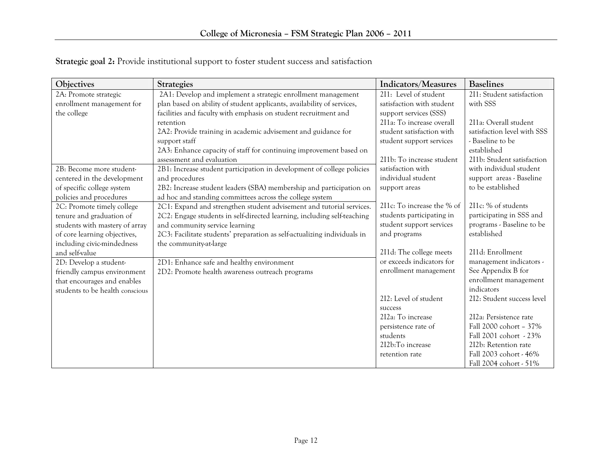| Objectives                      | <b>Strategies</b>                                                        | Indicators/Measures        | <b>Baselines</b>            |
|---------------------------------|--------------------------------------------------------------------------|----------------------------|-----------------------------|
| 2A: Promote strategic           | 2A1: Develop and implement a strategic enrollment management             | 211: Level of student      | 211: Student satisfaction   |
| enrollment management for       | plan based on ability of student applicants, availability of services,   | satisfaction with student  | with SSS                    |
| the college                     | facilities and faculty with emphasis on student recruitment and          | support services (SSS)     |                             |
|                                 | retention                                                                | 211a: To increase overall  | 211a: Overall student       |
|                                 | 2A2: Provide training in academic advisement and guidance for            | student satisfaction with  | satisfaction level with SSS |
|                                 | support staff                                                            | student support services   | - Baseline to be            |
|                                 | 2A3: Enhance capacity of staff for continuing improvement based on       |                            | established                 |
|                                 | assessment and evaluation                                                | 211b: To increase student  | 211b: Student satisfaction  |
| 2B: Become more student-        | 2B1: Increase student participation in development of college policies   | satisfaction with          | with individual student     |
| centered in the development     | and procedures                                                           | individual student         | support areas - Baseline    |
| of specific college system      | 2B2: Increase student leaders (SBA) membership and participation on      | support areas              | to be established           |
| policies and procedures         | ad hoc and standing committees across the college system                 |                            |                             |
| 2C: Promote timely college      | 2C1: Expand and strengthen student advisement and tutorial services.     | 211c: To increase the % of | 211c: % of students         |
| tenure and graduation of        | 2C2: Engage students in self-directed learning, including self-teaching  | students participating in  | participating in SSS and    |
| students with mastery of array  | and community service learning                                           | student support services   | programs - Baseline to be   |
| of core learning objectives,    | 2C3: Facilitate students' preparation as self-actualizing individuals in | and programs               | established                 |
| including civic-mindedness      | the community-at-large                                                   |                            |                             |
| and self-value                  |                                                                          | 211d: The college meets    | 211d: Enrollment            |
| 2D: Develop a student-          | 2D1: Enhance safe and healthy environment                                | or exceeds indicators for  | management indicators -     |
| friendly campus environment     | 2D2: Promote health awareness outreach programs                          | enrollment management      | See Appendix B for          |
| that encourages and enables     |                                                                          |                            | enrollment management       |
| students to be health conscious |                                                                          |                            | indicators                  |
|                                 |                                                                          | 212: Level of student      | 212: Student success level  |
|                                 |                                                                          | success                    |                             |
|                                 |                                                                          | 212a: To increase          | 212a: Persistence rate      |
|                                 |                                                                          | persistence rate of        | Fall 2000 cohort - 37%      |
|                                 |                                                                          | students                   | Fall 2001 cohort - 23%      |
|                                 |                                                                          | 212b:To increase           | 212b: Retention rate        |
|                                 |                                                                          | retention rate             | Fall 2003 cohort - 46%      |
|                                 |                                                                          |                            | Fall 2004 cohort - 51%      |

Strategic goal 2: Provide institutional support to foster student success and satisfaction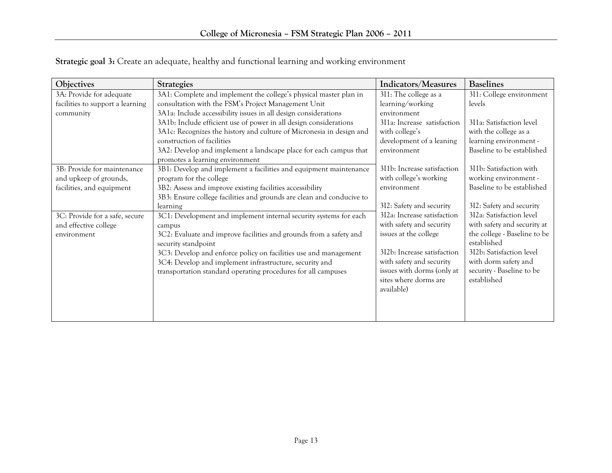| Objectives                       | <b>Strategies</b>                                                     | Indicators/Measures         | <b>Baselines</b>             |
|----------------------------------|-----------------------------------------------------------------------|-----------------------------|------------------------------|
| 3A: Provide for adequate         | 3A1: Complete and implement the college's physical master plan in     | 311: The college as a       | 3I1: College environment     |
| facilities to support a learning | consultation with the FSM's Project Management Unit                   | learning/working            | levels                       |
| community                        | 3A1a: Include accessibility issues in all design considerations       | environment                 |                              |
|                                  | 3A1b: Include efficient use of power in all design considerations     | 311a: Increase satisfaction | 311a: Satisfaction level     |
|                                  | 3A1c: Recognizes the history and culture of Micronesia in design and  | with college's              | with the college as a        |
|                                  | construction of facilities                                            | development of a leaning    | learning environment -       |
|                                  | 3A2: Develop and implement a landscape place for each campus that     | environment                 | Baseline to be established   |
|                                  | promotes a learning environment                                       |                             |                              |
| 3B: Provide for maintenance      | 3B1: Develop and implement a facilities and equipment maintenance     | 311b: Increase satisfaction | 311b: Satisfaction with      |
| and upkeep of grounds,           | program for the college                                               | with college's working      | working environment -        |
| facilities, and equipment        | 3B2: Assess and improve existing facilities accessibility             | environment                 | Baseline to be established   |
|                                  | 3B3: Ensure college facilities and grounds are clean and conducive to |                             |                              |
|                                  | learning                                                              | 312: Safety and security    | 312: Safety and security     |
| 3C: Provide for a safe, secure   | 3C1: Development and implement internal security systems for each     | 3I2a: Increase satisfaction | 3I2a: Satisfaction level     |
| and effective college            | campus                                                                | with safety and security    | with safety and security at  |
| environment                      | 3C2: Evaluate and improve facilities and grounds from a safety and    | issues at the college       | the college - Baseline to be |
|                                  | security standpoint                                                   |                             | established                  |
|                                  | 3C3: Develop and enforce policy on facilities use and management      | 312b: Increase satisfaction | 312b: Satisfaction level     |
|                                  | 3C4: Develop and implement infrastructure, security and               | with safety and security    | with dorm safety and         |
|                                  | transportation standard operating procedures for all campuses         | issues with dorms (only at  | security - Baseline to be    |
|                                  |                                                                       | sites where dorms are       | established                  |
|                                  |                                                                       | available)                  |                              |
|                                  |                                                                       |                             |                              |
|                                  |                                                                       |                             |                              |
|                                  |                                                                       |                             |                              |

Strategic goal 3: Create an adequate, healthy and functional learning and working environment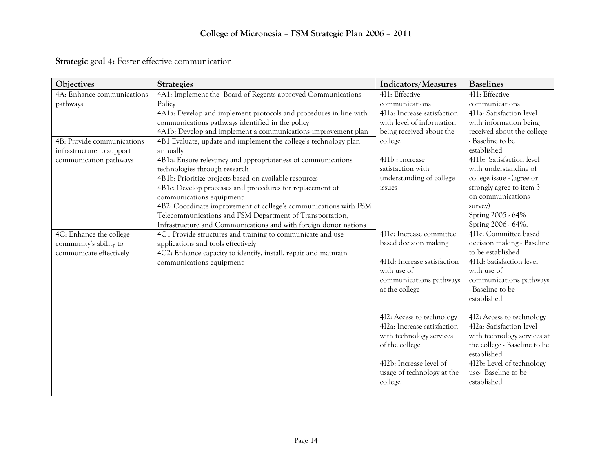| <b>Objectives</b>          | <b>Strategies</b>                                                 | Indicators/Measures         | <b>Baselines</b>             |
|----------------------------|-------------------------------------------------------------------|-----------------------------|------------------------------|
| 4A: Enhance communications | 4A1: Implement the Board of Regents approved Communications       | 4I1: Effective              | 4I1: Effective               |
| pathways                   | Policy                                                            | communications              | communications               |
|                            | 4A1a: Develop and implement protocols and procedures in line with | 4I1a: Increase satisfaction | 4I1a: Satisfaction level     |
|                            | communications pathways identified in the policy                  | with level of information   | with information being       |
|                            | 4A1b: Develop and implement a communications improvement plan     | being received about the    | received about the college   |
| 4B: Provide communications | 4B1 Evaluate, update and implement the college's technology plan  | college                     | - Baseline to be             |
| infrastructure to support  | annually                                                          |                             | established                  |
| communication pathways     | 4B1a: Ensure relevancy and appropriateness of communications      | 4I1b: Increase              | 4I1b: Satisfaction level     |
|                            | technologies through research                                     | satisfaction with           | with understanding of        |
|                            | 4B1b: Prioritize projects based on available resources            | understanding of college    | college issue - (agree or    |
|                            | 4B1c: Develop processes and procedures for replacement of         | issues                      | strongly agree to item 3     |
|                            | communications equipment                                          |                             | on communications            |
|                            | 4B2: Coordinate improvement of college's communications with FSM  |                             | survey)                      |
|                            | Telecommunications and FSM Department of Transportation,          |                             | Spring 2005 - 64%            |
|                            | Infrastructure and Communications and with foreign donor nations  |                             | Spring 2006 - 64%.           |
| 4C: Enhance the college    | 4C1 Provide structures and training to communicate and use        | 4I1c: Increase committee    | 411c: Committee based        |
| community's ability to     | applications and tools effectively                                | based decision making       | decision making - Baseline   |
| communicate effectively    | 4C2: Enhance capacity to identify, install, repair and maintain   |                             | to be established            |
|                            | communications equipment                                          | 4I1d: Increase satisfaction | 4I1d: Satisfaction level     |
|                            |                                                                   | with use of                 | with use of                  |
|                            |                                                                   | communications pathways     | communications pathways      |
|                            |                                                                   | at the college              | - Baseline to be             |
|                            |                                                                   |                             | established                  |
|                            |                                                                   | 412: Access to technology   | 412: Access to technology    |
|                            |                                                                   | 4I2a: Increase satisfaction | 4I2a: Satisfaction level     |
|                            |                                                                   | with technology services    | with technology services at  |
|                            |                                                                   | of the college              | the college - Baseline to be |
|                            |                                                                   |                             | established                  |
|                            |                                                                   | 412b: Increase level of     | 412b: Level of technology    |
|                            |                                                                   | usage of technology at the  | use-Baseline to be           |
|                            |                                                                   | college                     | established                  |
|                            |                                                                   |                             |                              |

Strategic goal 4: Foster effective communication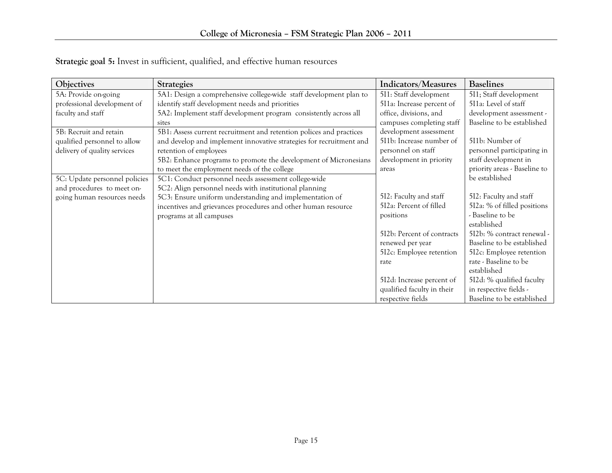| Objectives                    | <b>Strategies</b>                                                   | Indicators/Measures        | <b>Baselines</b>             |
|-------------------------------|---------------------------------------------------------------------|----------------------------|------------------------------|
| 5A: Provide on-going          | 5A1: Design a comprehensive college-wide staff development plan to  | 511: Staff development     | 511; Staff development       |
| professional development of   | identify staff development needs and priorities                     | 5I1a: Increase percent of  | 5I1a: Level of staff         |
| faculty and staff             | 5A2: Implement staff development program consistently across all    | office, divisions, and     | development assessment -     |
|                               | sites                                                               | campuses completing staff  | Baseline to be established   |
| 5B: Recruit and retain        | 5B1: Assess current recruitment and retention polices and practices | development assessment     |                              |
| qualified personnel to allow  | and develop and implement innovative strategies for recruitment and | 511b: Increase number of   | 511b: Number of              |
| delivery of quality services  | retention of employees                                              | personnel on staff         | personnel participating in   |
|                               | 5B2: Enhance programs to promote the development of Micronesians    | development in priority    | staff development in         |
|                               | to meet the employment needs of the college                         | areas                      | priority areas - Baseline to |
| 5C: Update personnel policies | 5C1: Conduct personnel needs assessment college-wide                |                            | be established               |
| and procedures to meet on-    | 5C2: Align personnel needs with institutional planning              |                            |                              |
| going human resources needs   | 5C3: Ensure uniform understanding and implementation of             | 512: Faculty and staff     | 512: Faculty and staff       |
|                               | incentives and grievances procedures and other human resource       | 512a: Percent of filled    | 512a: % of filled positions  |
|                               | programs at all campuses                                            | positions                  | - Baseline to be             |
|                               |                                                                     |                            | established                  |
|                               |                                                                     | 512b: Percent of contracts | 512b: % contract renewal -   |
|                               |                                                                     | renewed per year           | Baseline to be established   |
|                               |                                                                     | 512c: Employee retention   | 512c: Employee retention     |
|                               |                                                                     | rate                       | rate - Baseline to be        |
|                               |                                                                     |                            | established                  |
|                               |                                                                     | 512d: Increase percent of  | 512d: % qualified faculty    |
|                               |                                                                     | qualified faculty in their | in respective fields -       |
|                               |                                                                     | respective fields          | Baseline to be established   |

Strategic goal 5: Invest in sufficient, qualified, and effective human resources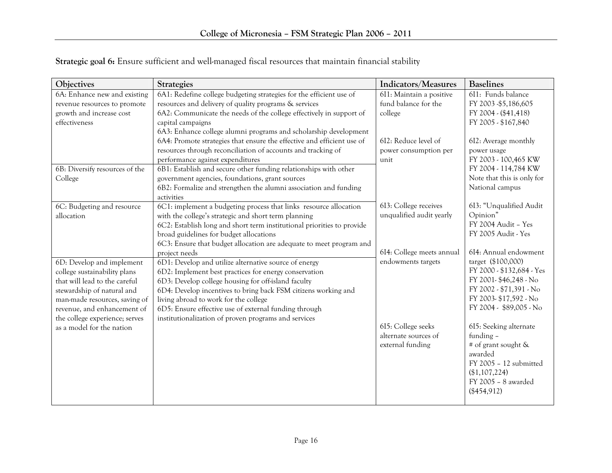| Objectives                     | <b>Strategies</b>                                                      | Indicators/Measures       | <b>Baselines</b>           |
|--------------------------------|------------------------------------------------------------------------|---------------------------|----------------------------|
| 6A: Enhance new and existing   | 6A1: Redefine college budgeting strategies for the efficient use of    | 6I1: Maintain a positive  | 6I1: Funds balance         |
| revenue resources to promote   | resources and delivery of quality programs & services                  | fund balance for the      | FY 2003 - \$5,186,605      |
| growth and increase cost       | 6A2: Communicate the needs of the college effectively in support of    | college                   | FY 2004 - (\$41,418)       |
| effectiveness                  | capital campaigns                                                      |                           | FY 2005 - \$167,840        |
|                                | 6A3: Enhance college alumni programs and scholarship development       |                           |                            |
|                                | 6A4: Promote strategies that ensure the effective and efficient use of | 6I2: Reduce level of      | 612: Average monthly       |
|                                | resources through reconciliation of accounts and tracking of           | power consumption per     | power usage                |
|                                | performance against expenditures                                       | unit                      | FY 2003 - 100,465 KW       |
| 6B: Diversify resources of the | 6B1: Establish and secure other funding relationships with other       |                           | FY 2004 - 114,784 KW       |
| College                        | government agencies, foundations, grant sources                        |                           | Note that this is only for |
|                                | 6B2: Formalize and strengthen the alumni association and funding       |                           | National campus            |
|                                | activities                                                             |                           |                            |
| 6C: Budgeting and resource     | 6C1: implement a budgeting process that links resource allocation      | 613: College receives     | 6I3: "Unqualified Audit    |
| allocation                     | with the college's strategic and short term planning                   | unqualified audit yearly  | Opinion"                   |
|                                | 6C2: Establish long and short term institutional priorities to provide |                           | FY 2004 Audit - Yes        |
|                                | broad guidelines for budget allocations                                |                           | FY 2005 Audit - Yes        |
|                                | 6C3: Ensure that budget allocation are adequate to meet program and    |                           |                            |
|                                | project needs                                                          | 6I4: College meets annual | 6I4: Annual endowment      |
| 6D: Develop and implement      | 6D1: Develop and utilize alternative source of energy                  | endowments targets        | target (\$100,000)         |
| college sustainability plans   | 6D2: Implement best practices for energy conservation                  |                           | FY 2000 - \$132,684 - Yes  |
| that will lead to the careful  | 6D3: Develop college housing for off-island faculty                    |                           | FY 2001-\$46,248 - No      |
| stewardship of natural and     | 6D4: Develop incentives to bring back FSM citizens working and         |                           | FY 2002 - \$71,391 - No    |
| man-made resources, saving of  | living abroad to work for the college                                  |                           | FY 2003-\$17,592 - No      |
| revenue, and enhancement of    | 6D5: Ensure effective use of external funding through                  |                           | FY 2004 - \$89,005 - No    |
| the college experience; serves | institutionalization of proven programs and services                   |                           |                            |
| as a model for the nation      |                                                                        | 615: College seeks        | 615: Seeking alternate     |
|                                |                                                                        | alternate sources of      | funding -                  |
|                                |                                                                        | external funding          | # of grant sought &        |
|                                |                                                                        |                           | awarded                    |
|                                |                                                                        |                           | FY 2005 - 12 submitted     |
|                                |                                                                        |                           | (\$1,107,224)              |
|                                |                                                                        |                           | FY 2005 - 8 awarded        |
|                                |                                                                        |                           | $(\$454,912)$              |

# Strategic goal 6: Ensure sufficient and well-managed fiscal resources that maintain financial stability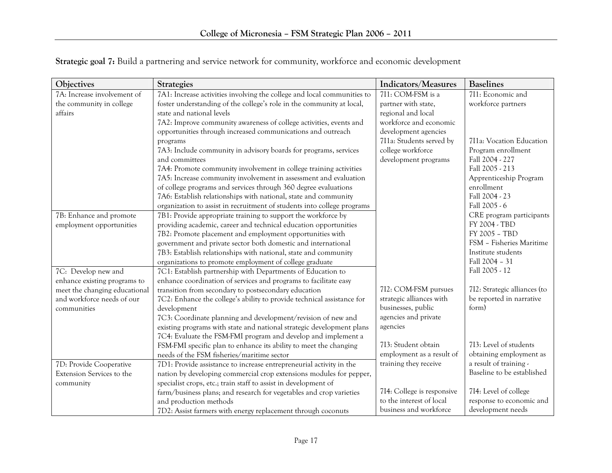| Objectives                    | <b>Strategies</b>                                                       | Indicators/Measures        | <b>Baselines</b>             |
|-------------------------------|-------------------------------------------------------------------------|----------------------------|------------------------------|
| 7A: Increase involvement of   | 7A1: Increase activities involving the college and local communities to | 7I1: COM-FSM is a          | 711: Economic and            |
| the community in college      | foster understanding of the college's role in the community at local,   | partner with state,        | workforce partners           |
| affairs                       | state and national levels                                               | regional and local         |                              |
|                               | 7A2: Improve community awareness of college activities, events and      | workforce and economic     |                              |
|                               | opportunities through increased communications and outreach             | development agencies       |                              |
|                               | programs                                                                | 711a: Students served by   | 7I1a: Vocation Education     |
|                               | 7A3: Include community in advisory boards for programs, services        | college workforce          | Program enrollment           |
|                               | and committees                                                          | development programs       | Fall 2004 - 227              |
|                               | 7A4: Promote community involvement in college training activities       |                            | Fall 2005 - 213              |
|                               | 7A5: Increase community involvement in assessment and evaluation        |                            | Apprenticeship Program       |
|                               | of college programs and services through 360 degree evaluations         |                            | enrollment                   |
|                               | 7A6: Establish relationships with national, state and community         |                            | Fall 2004 - 23               |
|                               | organization to assist in recruitment of students into college programs |                            | Fall 2005 - 6                |
| 7B: Enhance and promote       | 7B1: Provide appropriate training to support the workforce by           |                            | CRE program participants     |
| employment opportunities      | providing academic, career and technical education opportunities        |                            | FY 2004 - TBD                |
|                               | 7B2: Promote placement and employment opportunities with                |                            | FY 2005 - TBD                |
|                               | government and private sector both domestic and international           |                            | FSM - Fisheries Maritime     |
|                               | 7B3: Establish relationships with national, state and community         |                            | Institute students           |
|                               | organizations to promote employment of college graduate                 |                            | Fall 2004 - 31               |
| 7C: Develop new and           | 7C1: Establish partnership with Departments of Education to             |                            | Fall 2005 - 12               |
| enhance existing programs to  | enhance coordination of services and programs to facilitate easy        |                            |                              |
| meet the changing educational | transition from secondary to postsecondary education                    | 7I2: COM-FSM pursues       | 712: Strategic alliances (to |
| and workforce needs of our    | 7C2: Enhance the college's ability to provide technical assistance for  | strategic alliances with   | be reported in narrative     |
| communities                   | development                                                             | businesses, public         | form)                        |
|                               | 7C3: Coordinate planning and development/revision of new and            | agencies and private       |                              |
|                               | existing programs with state and national strategic development plans   | agencies                   |                              |
|                               | 7C4: Evaluate the FSM-FMI program and develop and implement a           |                            |                              |
|                               | FSM-FMI specific plan to enhance its ability to meet the changing       | 713: Student obtain        | 713: Level of students       |
|                               | needs of the FSM fisheries/maritime sector                              | employment as a result of  | obtaining employment as      |
| 7D: Provide Cooperative       | 7D1: Provide assistance to increase entrepreneurial activity in the     | training they receive      | a result of training -       |
| Extension Services to the     | nation by developing commercial crop extensions modules for pepper,     |                            | Baseline to be established   |
| community                     | specialist crops, etc.; train staff to assist in development of         |                            |                              |
|                               | farm/business plans; and research for vegetables and crop varieties     | 714: College is responsive | 714: Level of college        |
|                               | and production methods                                                  | to the interest of local   | response to economic and     |
|                               | 7D2: Assist farmers with energy replacement through coconuts            | business and workforce     | development needs            |

Strategic goal 7: Build a partnering and service network for community, workforce and economic development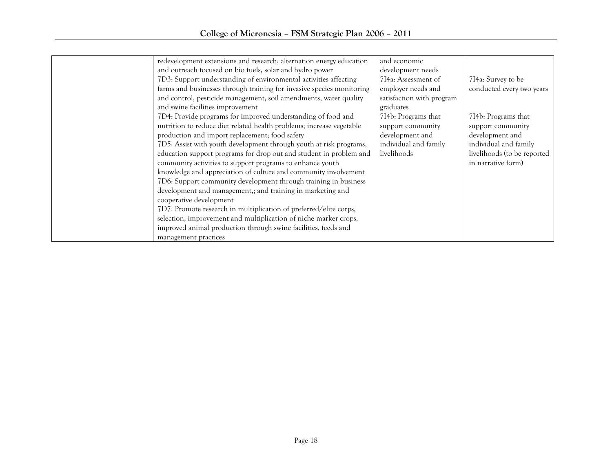|  | redevelopment extensions and research; alternation energy education<br>and outreach focused on bio fuels, solar and hydro power<br>7D3: Support understanding of environmental activities affecting<br>farms and businesses through training for invasive species monitoring<br>and control, pesticide management, soil amendments, water quality<br>and swine facilities improvement<br>7D4: Provide programs for improved understanding of food and<br>nutrition to reduce diet related health problems; increase vegetable<br>production and import replacement; food safety<br>7D5: Assist with youth development through youth at risk programs,<br>education support programs for drop out and student in problem and<br>community activities to support programs to enhance youth<br>knowledge and appreciation of culture and community involvement<br>7D6: Support community development through training in business<br>development and management,; and training in marketing and<br>cooperative development<br>7D7: Promote research in multiplication of preferred/elite corps,<br>selection, improvement and multiplication of niche marker crops,<br>improved animal production through swine facilities, feeds and<br>management practices | and economic<br>development needs<br>714a: Assessment of<br>employer needs and<br>satisfaction with program<br>graduates<br>714b: Programs that<br>support community<br>development and<br>individual and family<br>livelihoods | 714a: Survey to be<br>conducted every two years<br>714b: Programs that<br>support community<br>development and<br>individual and family<br>livelihoods (to be reported<br>in narrative form) |
|--|------------------------------------------------------------------------------------------------------------------------------------------------------------------------------------------------------------------------------------------------------------------------------------------------------------------------------------------------------------------------------------------------------------------------------------------------------------------------------------------------------------------------------------------------------------------------------------------------------------------------------------------------------------------------------------------------------------------------------------------------------------------------------------------------------------------------------------------------------------------------------------------------------------------------------------------------------------------------------------------------------------------------------------------------------------------------------------------------------------------------------------------------------------------------------------------------------------------------------------------------------------|---------------------------------------------------------------------------------------------------------------------------------------------------------------------------------------------------------------------------------|----------------------------------------------------------------------------------------------------------------------------------------------------------------------------------------------|
|--|------------------------------------------------------------------------------------------------------------------------------------------------------------------------------------------------------------------------------------------------------------------------------------------------------------------------------------------------------------------------------------------------------------------------------------------------------------------------------------------------------------------------------------------------------------------------------------------------------------------------------------------------------------------------------------------------------------------------------------------------------------------------------------------------------------------------------------------------------------------------------------------------------------------------------------------------------------------------------------------------------------------------------------------------------------------------------------------------------------------------------------------------------------------------------------------------------------------------------------------------------------|---------------------------------------------------------------------------------------------------------------------------------------------------------------------------------------------------------------------------------|----------------------------------------------------------------------------------------------------------------------------------------------------------------------------------------------|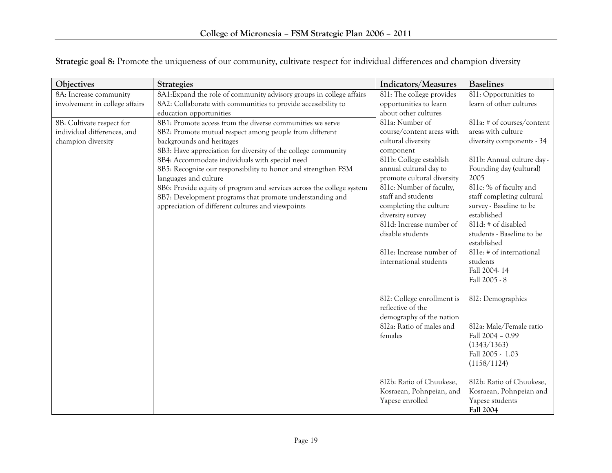| Objectives                     | <b>Strategies</b>                                                                                                                 | Indicators/Measures                                    | <b>Baselines</b>               |
|--------------------------------|-----------------------------------------------------------------------------------------------------------------------------------|--------------------------------------------------------|--------------------------------|
| 8A: Increase community         | 8A1: Expand the role of community advisory groups in college affairs                                                              | 8I1: The college provides                              | 8I1: Opportunities to          |
| involvement in college affairs | 8A2: Collaborate with communities to provide accessibility to                                                                     | opportunities to learn                                 | learn of other cultures        |
|                                | education opportunities                                                                                                           | about other cultures                                   |                                |
| 8B: Cultivate respect for      | 8B1: Promote access from the diverse communities we serve                                                                         | 8I1a: Number of                                        | 8I1a: # of courses/content     |
| individual differences, and    | 8B2: Promote mutual respect among people from different                                                                           | course/content areas with                              | areas with culture             |
| champion diversity             | backgrounds and heritages                                                                                                         | cultural diversity                                     | diversity components - 34      |
|                                | 8B3: Have appreciation for diversity of the college community                                                                     | component                                              |                                |
|                                | 8B4: Accommodate individuals with special need                                                                                    | 811b: College establish                                | 8I1b: Annual culture day -     |
|                                | 8B5: Recognize our responsibility to honor and strengthen FSM                                                                     | annual cultural day to                                 | Founding day (cultural)        |
|                                | languages and culture                                                                                                             | promote cultural diversity<br>8I1c: Number of faculty, | 2005<br>8I1c: % of faculty and |
|                                | 8B6: Provide equity of program and services across the college system<br>8B7: Development programs that promote understanding and | staff and students                                     | staff completing cultural      |
|                                | appreciation of different cultures and viewpoints                                                                                 | completing the culture                                 | survey - Baseline to be        |
|                                |                                                                                                                                   | diversity survey                                       | established                    |
|                                |                                                                                                                                   | 8I1d: Increase number of                               | 8I1d: # of disabled            |
|                                |                                                                                                                                   | disable students                                       | students - Baseline to be      |
|                                |                                                                                                                                   |                                                        | established                    |
|                                |                                                                                                                                   | 8I1e: Increase number of                               | 8I1e: # of international       |
|                                |                                                                                                                                   | international students                                 | students                       |
|                                |                                                                                                                                   |                                                        | Fall 2004-14                   |
|                                |                                                                                                                                   |                                                        | Fall 2005 - 8                  |
|                                |                                                                                                                                   | 8I2: College enrollment is                             | 812: Demographics              |
|                                |                                                                                                                                   | reflective of the                                      |                                |
|                                |                                                                                                                                   | demography of the nation                               |                                |
|                                |                                                                                                                                   | 8I2a: Ratio of males and                               | 8I2a: Male/Female ratio        |
|                                |                                                                                                                                   | females                                                | Fall 2004 - 0.99               |
|                                |                                                                                                                                   |                                                        | (1343/1363)                    |
|                                |                                                                                                                                   |                                                        | Fall 2005 - 1.03               |
|                                |                                                                                                                                   |                                                        | (1158/1124)                    |
|                                |                                                                                                                                   | 8I2b: Ratio of Chuukese,                               | 8I2b: Ratio of Chuukese,       |
|                                |                                                                                                                                   | Kosraean, Pohnpeian, and                               | Kosraean, Pohnpeian and        |
|                                |                                                                                                                                   | Yapese enrolled                                        | Yapese students                |
|                                |                                                                                                                                   |                                                        | <b>Fall 2004</b>               |

Strategic goal 8: Promote the uniqueness of our community, cultivate respect for individual differences and champion diversity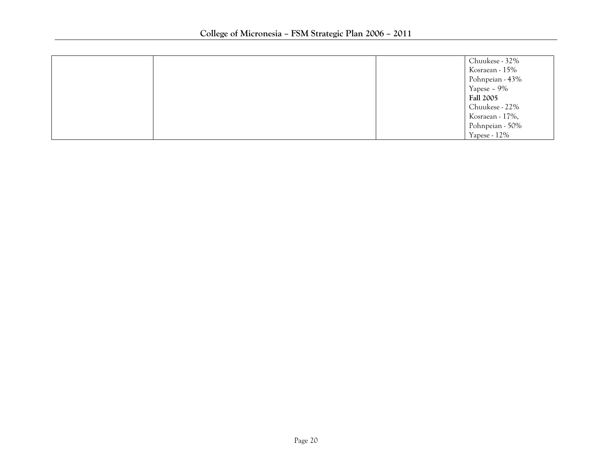|  | Chuukese - 32%   |
|--|------------------|
|  | Kosraean - 15%   |
|  | Pohnpeian - 43%  |
|  | Yapese - 9%      |
|  | <b>Fall 2005</b> |
|  | Chuukese - 22%   |
|  | Kosraean - 17%,  |
|  | Pohnpeian - 50%  |
|  | Yapese - 12%     |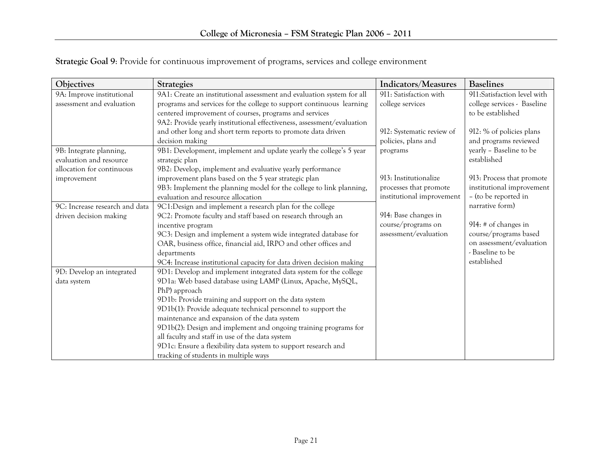| Objectives                     | <b>Strategies</b>                                                      | Indicators/Measures       | <b>Baselines</b>            |
|--------------------------------|------------------------------------------------------------------------|---------------------------|-----------------------------|
| 9A: Improve institutional      | 9A1: Create an institutional assessment and evaluation system for all  | 9I1: Satisfaction with    | 9I1:Satisfaction level with |
| assessment and evaluation      | programs and services for the college to support continuous learning   | college services          | college services - Baseline |
|                                | centered improvement of courses, programs and services                 |                           | to be established           |
|                                | 9A2: Provide yearly institutional effectiveness, assessment/evaluation |                           |                             |
|                                | and other long and short term reports to promote data driven           | 9I2: Systematic review of | 9I2: % of policies plans    |
|                                | decision making                                                        | policies, plans and       | and programs reviewed       |
| 9B: Integrate planning,        | 9B1: Development, implement and update yearly the college's 5 year     | programs                  | yearly - Baseline to be     |
| evaluation and resource        | strategic plan                                                         |                           | established                 |
| allocation for continuous      | 9B2: Develop, implement and evaluative yearly performance              |                           |                             |
| improvement                    | improvement plans based on the 5 year strategic plan                   | 913: Institutionalize     | 913: Process that promote   |
|                                | 9B3: Implement the planning model for the college to link planning,    | processes that promote    | institutional improvement   |
|                                | evaluation and resource allocation                                     | institutional improvement | - (to be reported in        |
| 9C: Increase research and data | 9C1:Design and implement a research plan for the college               |                           | narrative form)             |
| driven decision making         | 9C2: Promote faculty and staff based on research through an            | 9I4: Base changes in      |                             |
|                                | incentive program                                                      | course/programs on        | $9I4:$ # of changes in      |
|                                | 9C3: Design and implement a system wide integrated database for        | assessment/evaluation     | course/programs based       |
|                                | OAR, business office, financial aid, IRPO and other offices and        |                           | on assessment/evaluation    |
|                                | departments                                                            |                           | - Baseline to be            |
|                                | 9C4: Increase institutional capacity for data driven decision making   |                           | established                 |
| 9D: Develop an integrated      | 9D1: Develop and implement integrated data system for the college      |                           |                             |
| data system                    | 9D1a: Web based database using LAMP (Linux, Apache, MySQL,             |                           |                             |
|                                | PhP) approach                                                          |                           |                             |
|                                | 9D1b: Provide training and support on the data system                  |                           |                             |
|                                | 9D1b(1): Provide adequate technical personnel to support the           |                           |                             |
|                                | maintenance and expansion of the data system                           |                           |                             |
|                                | 9D1b(2): Design and implement and ongoing training programs for        |                           |                             |
|                                | all faculty and staff in use of the data system                        |                           |                             |
|                                | 9D1c: Ensure a flexibility data system to support research and         |                           |                             |
|                                | tracking of students in multiple ways                                  |                           |                             |

Strategic Goal 9: Provide for continuous improvement of programs, services and college environment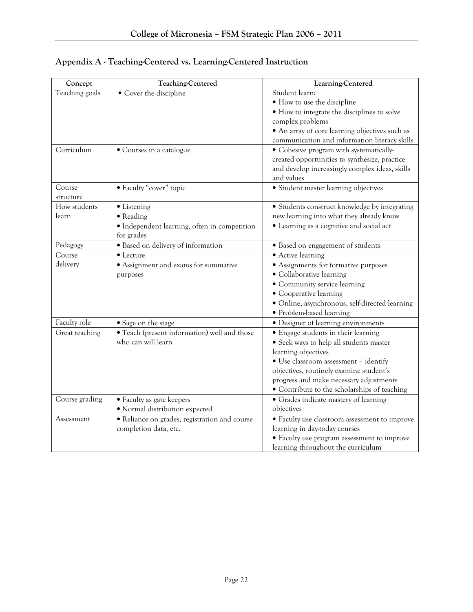| Concept        | Teaching-Centered                             | Learning-Centered                              |
|----------------|-----------------------------------------------|------------------------------------------------|
| Teaching goals | • Cover the discipline                        | Student learn:                                 |
|                |                                               | • How to use the discipline                    |
|                |                                               | • How to integrate the disciplines to solve    |
|                |                                               | complex problems                               |
|                |                                               | • An array of core learning objectives such as |
|                |                                               | communication and information literacy skills  |
| Curriculum     | • Courses in a catalogue                      | • Cohesive program with systematically-        |
|                |                                               | created opportunities to synthesize, practice  |
|                |                                               | and develop increasingly complex ideas, skills |
|                |                                               | and values                                     |
| Course         | • Faculty "cover" topic                       | • Student master learning objectives           |
| structure      |                                               |                                                |
| How students   | • Listening                                   | • Students construct knowledge by integrating  |
| learn          | • Reading                                     | new learning into what they already know       |
|                | · Independent learning, often in competition  | • Learning as a cognitive and social act       |
|                | for grades                                    |                                                |
| Pedagogy       | · Based on delivery of information            | · Based on engagement of students              |
| Course         | • Lecture                                     | • Active learning                              |
| delivery       | • Assignment and exams for summative          | • Assignments for formative purposes           |
|                | purposes                                      | • Collaborative learning                       |
|                |                                               | · Community service learning                   |
|                |                                               | • Cooperative learning                         |
|                |                                               | · Online, asynchronous, self-directed learning |
|                |                                               | • Problem-based learning                       |
| Faculty role   | • Sage on the stage                           | • Designer of learning environments            |
| Great teaching | · Teach (present information) well and those  | • Engage students in their learning            |
|                | who can will learn                            | · Seek ways to help all students master        |
|                |                                               | learning objectives                            |
|                |                                               | • Use classroom assessment - identify          |
|                |                                               | objectives, routinely examine student's        |
|                |                                               | progress and make necessary adjustments        |
|                |                                               | • Contribute to the scholarships of teaching   |
| Course grading | • Faculty as gate keepers                     | • Grades indicate mastery of learning          |
|                | · Normal distribution expected                | objectives                                     |
| Assessment     | · Reliance on grades, registration and course | • Faculty use classroom assessment to improve  |
|                | completion data, etc.                         | learning in day-today courses                  |
|                |                                               | • Faculty use program assessment to improve    |
|                |                                               | learning throughout the curriculum             |

# Appendix A - Teaching-Centered vs. Learning-Centered Instruction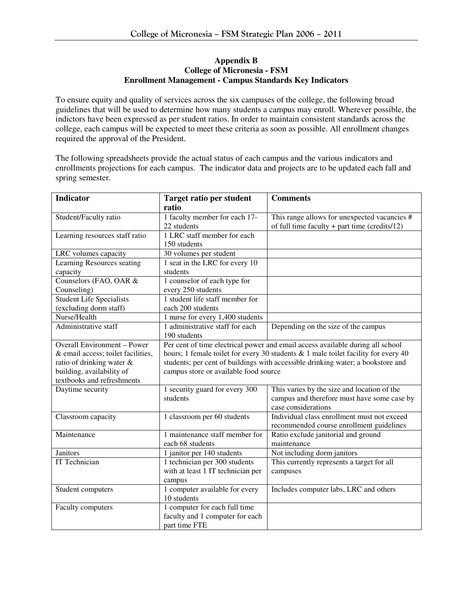#### **Appendix B College of Micronesia - FSM Enrollment Management - Campus Standards Key Indicators**

To ensure equity and quality of services across the six campuses of the college, the following broad guidelines that will be used to determine how many students a campus may enroll. Wherever possible, the indictors have been expressed as per student ratios. In order to maintain consistent standards across the college, each campus will be expected to meet these criteria as soon as possible. All enrollment changes required the approval of the President.

The following spreadsheets provide the actual status of each campus and the various indicators and enrollments projections for each campus. The indicator data and projects are to be updated each fall and spring semester.

| <b>Indicator</b>                   | <b>Target ratio per student</b>                                                      | <b>Comments</b>                               |  |  |  |
|------------------------------------|--------------------------------------------------------------------------------------|-----------------------------------------------|--|--|--|
|                                    | ratio                                                                                |                                               |  |  |  |
| Student/Faculty ratio              | 1 faculty member for each 17-                                                        | This range allows for unexpected vacancies #  |  |  |  |
|                                    | 22 students                                                                          | of full time faculty + part time (credits/12) |  |  |  |
| Learning resources staff ratio     | 1 LRC staff member for each                                                          |                                               |  |  |  |
|                                    | 150 students                                                                         |                                               |  |  |  |
| LRC volumes capacity               | 30 volumes per student                                                               |                                               |  |  |  |
| Learning Resources seating         | 1 seat in the LRC for every 10                                                       |                                               |  |  |  |
| capacity                           | students                                                                             |                                               |  |  |  |
| Counselors (FAO, OAR &             | 1 counselor of each type for                                                         |                                               |  |  |  |
| Counseling)                        | every 250 students                                                                   |                                               |  |  |  |
| Student Life Specialists           | 1 student life staff member for                                                      |                                               |  |  |  |
| (excluding dorm staff)             | each 200 students                                                                    |                                               |  |  |  |
| Nurse/Health                       | 1 nurse for every 1,400 students                                                     |                                               |  |  |  |
| Administrative staff               | 1 administrative staff for each                                                      | Depending on the size of the campus           |  |  |  |
|                                    | 190 students                                                                         |                                               |  |  |  |
| Overall Environment - Power        | Per cent of time electrical power and email access available during all school       |                                               |  |  |  |
| & email access; toilet facilities, | hours; 1 female toilet for every 30 students $& 1$ male toilet facility for every 40 |                                               |  |  |  |
| ratio of drinking water &          | students; per cent of buildings with accessible drinking water; a bookstore and      |                                               |  |  |  |
| building, availability of          | campus store or available food source                                                |                                               |  |  |  |
| textbooks and refreshments         |                                                                                      |                                               |  |  |  |
| Daytime security                   | 1 security guard for every 300                                                       | This varies by the size and location of the   |  |  |  |
|                                    | students                                                                             | campus and therefore must have some case by   |  |  |  |
|                                    |                                                                                      | case considerations                           |  |  |  |
| Classroom capacity                 | 1 classroom per 60 students                                                          | Individual class enrollment must not exceed   |  |  |  |
|                                    |                                                                                      | recommended course enrollment guidelines      |  |  |  |
| Maintenance                        | 1 maintenance staff member for                                                       | Ratio exclude janitorial and ground           |  |  |  |
|                                    | each 68 students                                                                     | maintenance                                   |  |  |  |
| Janitors                           | 1 janitor per 140 students                                                           | Not including dorm janitors                   |  |  |  |
| IT Technician                      | 1 technician per 300 students                                                        | This currently represents a target for all    |  |  |  |
|                                    | with at least 1 IT technician per                                                    | campuses                                      |  |  |  |
|                                    | campus                                                                               |                                               |  |  |  |
| Student computers                  | 1 computer available for every                                                       | Includes computer labs, LRC and others        |  |  |  |
|                                    | 10 students                                                                          |                                               |  |  |  |
| Faculty computers                  | 1 computer for each full time                                                        |                                               |  |  |  |
|                                    | faculty and 1 computer for each                                                      |                                               |  |  |  |
|                                    | part time FTE                                                                        |                                               |  |  |  |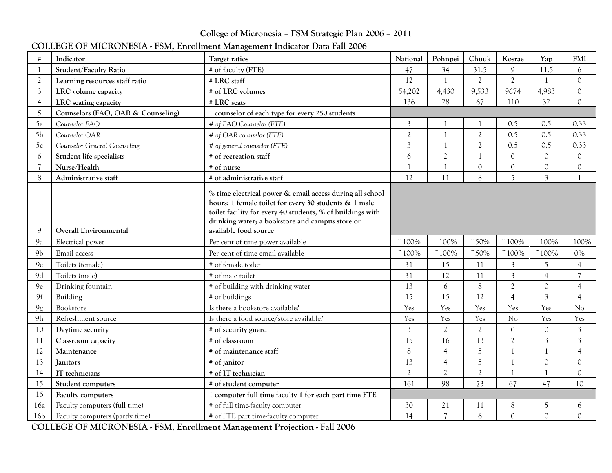College of Micronesia – FSM Strategic Plan 2006 – 2011

|                 | COLLEGE OF MICRONESIA - FSM, Enrollment Management Indicator Data Fall 2006 |                                                                                                                                                                                                                                                             |                |                   |                |                     |                         |                                  |  |
|-----------------|-----------------------------------------------------------------------------|-------------------------------------------------------------------------------------------------------------------------------------------------------------------------------------------------------------------------------------------------------------|----------------|-------------------|----------------|---------------------|-------------------------|----------------------------------|--|
| #               | Indicator                                                                   | Target ratios                                                                                                                                                                                                                                               | National       | Pohnpei           | Chuuk          | Kosrae              | Yap                     | <b>FMI</b>                       |  |
| $\overline{1}$  | <b>Student/Faculty Ratio</b>                                                | # of faculty (FTE)                                                                                                                                                                                                                                          | 47             | 34                | 31.5           | 9                   | 11.5                    | 6                                |  |
| $\overline{2}$  | Learning resources staff ratio                                              | # LRC staff                                                                                                                                                                                                                                                 | 12             | $\mathbf{1}$      | $\mathfrak{2}$ | $\overline{2}$      | $\mathbf{1}$            | $\mathcal{O}$                    |  |
| 3               | LRC volume capacity                                                         | # of LRC volumes                                                                                                                                                                                                                                            | 54,202         | 4,430             | 9,533          | 9674                | 4,983                   | $\mathbf 0$                      |  |
| 4               | LRC seating capacity                                                        | # LRC seats                                                                                                                                                                                                                                                 | 136            | 28                | 67             | 110                 | 32                      | $\mathcal{O}$                    |  |
| 5               | Counselors (FAO, OAR & Counseling)                                          | 1 counselor of each type for every 250 students                                                                                                                                                                                                             |                |                   |                |                     |                         |                                  |  |
| 5a              | Counselor FAO                                                               | # of FAO Counselor (FTE)                                                                                                                                                                                                                                    | $\mathfrak{Z}$ |                   |                | 0.5                 | 0.5                     | 0.33                             |  |
| 5 <sub>b</sub>  | Counselor OAR                                                               | # of OAR counselor (FTE)                                                                                                                                                                                                                                    | $\overline{2}$ | $\mathbf{1}$      | $\overline{2}$ | 0.5                 | 0.5                     | 0.33                             |  |
| 5c              | Counselor General Counseling                                                | # of general counselor (FTE)                                                                                                                                                                                                                                | $\overline{3}$ | $\mathbf{1}$      | $\mathfrak{2}$ | 0.5                 | 0.5                     | 0.33                             |  |
| 6               | Student life specialists                                                    | # of recreation staff                                                                                                                                                                                                                                       | 6              | $\overline{2}$    | $\overline{1}$ | 0                   | $\mathcal{O}$           | $\circ$                          |  |
| $\overline{7}$  | Nurse/Health                                                                | # of nurse                                                                                                                                                                                                                                                  | $\mathbf{1}$   | $\mathbf{1}$      | $\mathcal{O}$  | 0                   | $\mathbf{0}$            | $\mathcal{O}$                    |  |
| 8               | Administrative staff                                                        | # of administrative staff                                                                                                                                                                                                                                   | 12             | 11                | 8              | 5                   | $\overline{3}$          | $\mathbf{1}$                     |  |
| 9               | <b>Overall Environmental</b>                                                | % time electrical power & email access during all school<br>hours; 1 female toilet for every 30 students & 1 male<br>toilet facility for every 40 students, % of buildings with<br>drinking water; a bookstore and campus store or<br>available food source |                |                   |                |                     |                         |                                  |  |
| 9a              | Electrical power                                                            | Per cent of time power available                                                                                                                                                                                                                            | $~100\%$       | $~100\%$          | 50%            | $~100\%$            | 100%                    | 100%                             |  |
| 9 <sub>b</sub>  | Email access                                                                | Per cent of time email available                                                                                                                                                                                                                            | $~^\sim 100\%$ | $~\tilde{}~100\%$ | $\degree$ 50%  | $~^\sim 100\%$      | 100%                    | $0\%$                            |  |
|                 |                                                                             |                                                                                                                                                                                                                                                             |                |                   |                |                     |                         |                                  |  |
| 9c<br>9d        | Toilets (female)<br>Toilets (male)                                          | # of female toilet<br># of male toilet                                                                                                                                                                                                                      | 31<br>31       | 15<br>12          | 11<br>11       | 3<br>$\overline{3}$ | 5<br>$\overline{4}$     | $\overline{4}$<br>$\overline{7}$ |  |
| 9e              |                                                                             | # of building with drinking water                                                                                                                                                                                                                           | 13             | 6                 | 8              | $\overline{2}$      | $\mathcal{O}$           |                                  |  |
| 9f              | Drinking fountain<br>Building                                               | # of buildings                                                                                                                                                                                                                                              | 15             | 15                | 12             | $\overline{4}$      | $\overline{\mathbf{3}}$ | $\overline{4}$<br>$\overline{4}$ |  |
| 9g              | Bookstore                                                                   | Is there a bookstore available?                                                                                                                                                                                                                             | Yes            | Yes               | Yes            | Yes                 | Yes                     | No                               |  |
| 9h              | Refreshment source                                                          | Is there a food source/store available?                                                                                                                                                                                                                     | Yes            | Yes               | Yes            | No                  | Yes                     | Yes                              |  |
| 10              | Daytime security                                                            | # of security guard                                                                                                                                                                                                                                         | $\mathfrak{Z}$ | $\overline{2}$    | $\overline{2}$ | 0                   | $\mathbf{0}$            | $\mathfrak{Z}$                   |  |
| 11              | Classroom capacity                                                          | # of classroom                                                                                                                                                                                                                                              | 15             | 16                | 13             | $\overline{2}$      | $\mathfrak{Z}$          | $\mathfrak{Z}$                   |  |
| 12              | Maintenance                                                                 | # of maintenance staff                                                                                                                                                                                                                                      | $\,8\,$        | $\overline{4}$    | 5              | 1                   | -1                      | $\overline{4}$                   |  |
| 13              | Janitors                                                                    | # of janitor                                                                                                                                                                                                                                                | 13             | $\overline{4}$    | 5              | 1                   | $\mathcal{O}$           | $\mathcal{O}$                    |  |
| 14              | IT technicians                                                              | # of IT technician                                                                                                                                                                                                                                          | $\overline{2}$ | $\mathfrak{2}$    | $\overline{2}$ | 1                   | $\mathbf{1}$            | $\mathbf 0$                      |  |
| 15              | Student computers                                                           | # of student computer                                                                                                                                                                                                                                       | 161            | 98                | 73             | 67                  | 47                      | 10                               |  |
| 16              | Faculty computers                                                           | 1 computer full time faculty 1 for each part time FTE                                                                                                                                                                                                       |                |                   |                |                     |                         |                                  |  |
| 16a             | Faculty computers (full time)                                               | # of full time-faculty computer                                                                                                                                                                                                                             | 30             | 21                | 11             | 8                   | 5                       | 6                                |  |
| 16 <sub>b</sub> | Faculty computers (partly time)                                             | # of FTE part time-faculty computer                                                                                                                                                                                                                         | 14             | $\overline{7}$    | 6              | $\mathcal{O}$       | $\Omega$                | $\Omega$                         |  |
|                 | COLLEGE OF MICRONESIA - FSM, Enrollment Management Projection - Fall 2006   |                                                                                                                                                                                                                                                             |                |                   |                |                     |                         |                                  |  |